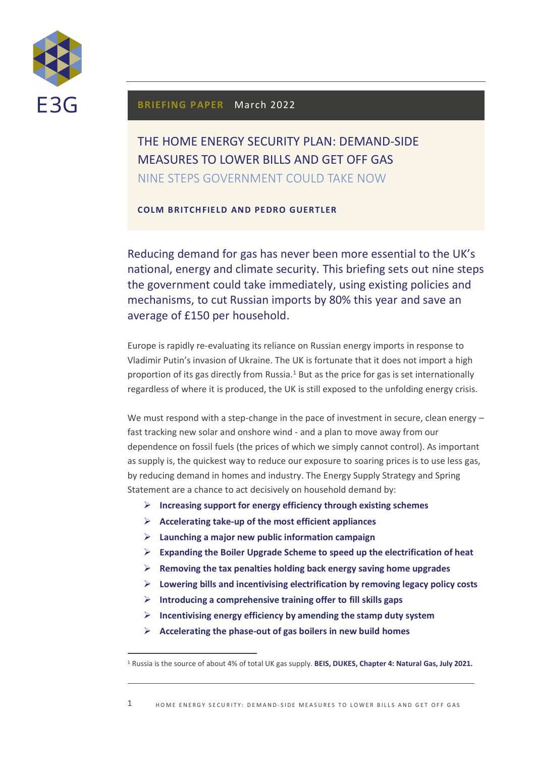

## **BRIEFING PAPER** March 2022

# THE HOME ENERGY SECURITY PLAN: DEMAND-SIDE MEASURES TO LOWER BILLS AND GET OFF GAS NINE STEPS GOVERNMENT COULD TAKE NOW

**COLM BRITCHFIELD AND PEDRO GUERTLER**

Reducing demand for gas has never been more essential to the UK's national, energy and climate security. This briefing sets out nine steps the government could take immediately, using existing policies and mechanisms, to cut Russian imports by 80% this year and save an average of £150 per household.

Europe is rapidly re-evaluating its reliance on Russian energy imports in response to Vladimir Putin's invasion of Ukraine. The UK is fortunate that it does not import a high proportion of its gas directly from Russia.<sup>1</sup> But as the price for gas is set internationally regardless of where it is produced, the UK is still exposed to the unfolding energy crisis.

We must respond with a step-change in the pace of investment in secure, clean energy fast tracking new solar and onshore wind - and a plan to move away from our dependence on fossil fuels (the prices of which we simply cannot control). As important as supply is, the quickest way to reduce our exposure to soaring prices is to use less gas, by reducing demand in homes and industry. The Energy Supply Strategy and Spring Statement are a chance to act decisively on household demand by:

- ➢ **Increasing support for energy efficiency through existing schemes**
- ➢ **Accelerating take-up of the most efficient appliances**
- ➢ **Launching a major new public information campaign**
- ➢ **Expanding the Boiler Upgrade Scheme to speed up the electrification of heat**
- ➢ **Removing the tax penalties holding back energy saving home upgrades**
- ➢ **Lowering bills and incentivising electrification by removing legacy policy costs**
- ➢ **Introducing a comprehensive training offer to fill skills gaps**
- ➢ **Incentivising energy efficiency by amending the stamp duty system**
- ➢ **Accelerating the phase-out of gas boilers in new build homes**

<sup>1</sup> Russia is the source of about 4% of total UK gas supply. **[BEIS, DUKES, Chapter 4: Natural Gas, July 2021.](https://www.gov.uk/government/statistics/natural-gas-chapter-4-digest-of-united-kingdom-energy-statistics-dukes)**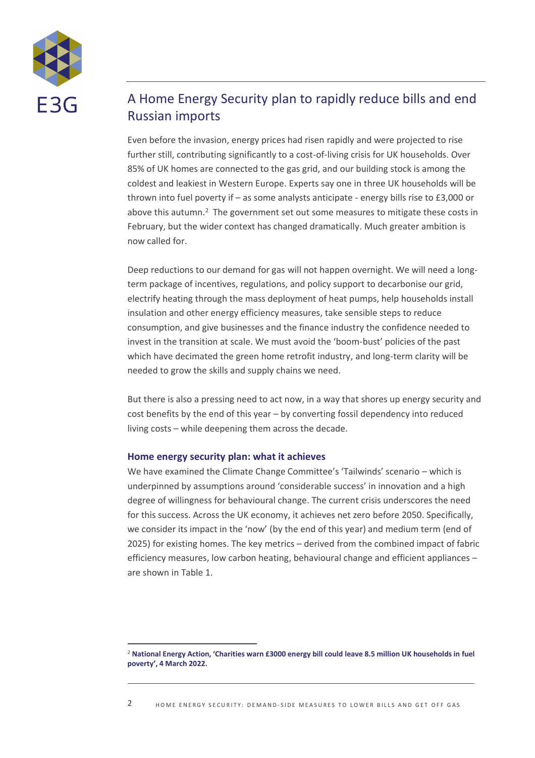

# A Home Energy Security plan to rapidly reduce bills and end Russian imports

Even before the invasion, energy prices had risen rapidly and were projected to rise further still, contributing significantly to a cost-of-living crisis for UK households. Over 85% of UK homes are connected to the gas grid, and our building stock is among the coldest and leakiest in Western Europe. Experts say one in three UK households will be thrown into fuel poverty if – as some analysts anticipate - energy bills rise to £3,000 or above this autumn.<sup>2</sup> The government set out some measures to mitigate these costs in February, but the wider context has changed dramatically. Much greater ambition is now called for.

Deep reductions to our demand for gas will not happen overnight. We will need a longterm package of incentives, regulations, and policy support to decarbonise our grid, electrify heating through the mass deployment of heat pumps, help households install insulation and other energy efficiency measures, take sensible steps to reduce consumption, and give businesses and the finance industry the confidence needed to invest in the transition at scale. We must avoid the 'boom-bust' policies of the past which have decimated the green home retrofit industry, and long-term clarity will be needed to grow the skills and supply chains we need.

But there is also a pressing need to act now, in a way that shores up energy security and cost benefits by the end of this year – by converting fossil dependency into reduced living costs – while deepening them across the decade.

### **Home energy security plan: what it achieves**

We have examined the Climate Change Committee's 'Tailwinds' scenario – which is underpinned by assumptions around 'considerable success' in innovation and a high degree of willingness for behavioural change. The current crisis underscores the need for this success. Across the UK economy, it achieves net zero before 2050. Specifically, we consider its impact in the 'now' (by the end of this year) and medium term (end of 2025) for existing homes. The key metrics – derived from the combined impact of fabric efficiency measures, low carbon heating, behavioural change and efficient appliances – are shown i[n Table 1.](#page-2-0)

<sup>2</sup> **[National Energy Action, 'Charities warn £3000 energy bill could leave 8.5 million UK households in fuel](https://www.nea.org.uk/news/charities-warn-3000-energy-bill-could-leave-8-5-million-uk-households-in-fuel-poverty/)  poverty[', 4 March 2022.](https://www.nea.org.uk/news/charities-warn-3000-energy-bill-could-leave-8-5-million-uk-households-in-fuel-poverty/)**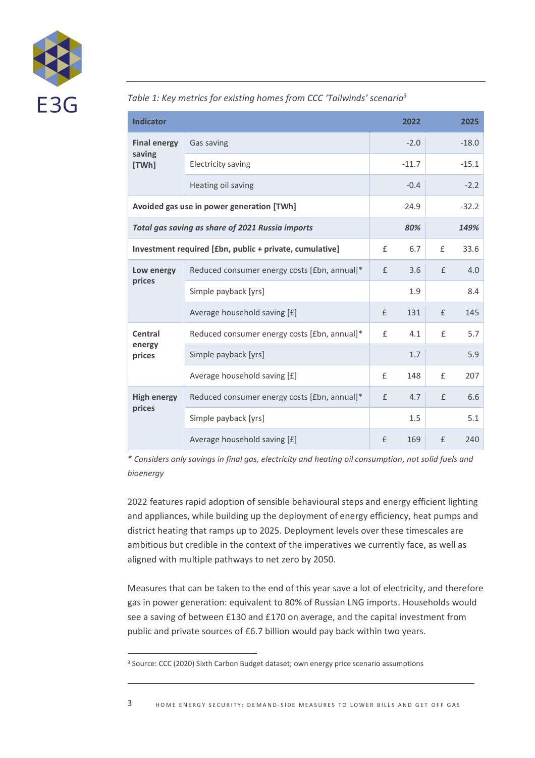

<span id="page-2-0"></span>*Table 1: Key metrics for existing homes from CCC 'Tailwinds' scenario<sup>3</sup>*

| <b>Indicator</b>                                        |                                              |              | 2022    |   | 2025    |
|---------------------------------------------------------|----------------------------------------------|--------------|---------|---|---------|
| <b>Final energy</b><br>saving<br>[TWh]                  | Gas saving                                   |              | $-2.0$  |   | $-18.0$ |
|                                                         | <b>Electricity saving</b>                    |              | $-11.7$ |   | $-15.1$ |
|                                                         | Heating oil saving                           |              | $-0.4$  |   | $-2.2$  |
| Avoided gas use in power generation [TWh]               |                                              |              | $-24.9$ |   | $-32.2$ |
| Total gas saving as share of 2021 Russia imports        |                                              |              | 80%     |   | 149%    |
| Investment required [£bn, public + private, cumulative] |                                              | $\mathsf{f}$ | 6.7     | £ | 33.6    |
| Low energy<br>prices                                    | Reduced consumer energy costs [£bn, annual]* | £            | 3.6     | £ | 4.0     |
|                                                         | Simple payback [yrs]                         |              | 1.9     |   | 8.4     |
|                                                         | Average household saving [£]                 | $\mathsf{f}$ | 131     | £ | 145     |
| Central<br>energy<br>prices                             | Reduced consumer energy costs [£bn, annual]* | £            | 4.1     | £ | 5.7     |
|                                                         | Simple payback [yrs]                         |              | 1.7     |   | 5.9     |
|                                                         | Average household saving [£]                 | £            | 148     | £ | 207     |
| <b>High energy</b><br>prices                            | Reduced consumer energy costs [£bn, annual]* | £            | 4.7     | £ | 6.6     |
|                                                         | Simple payback [yrs]                         |              | 1.5     |   | 5.1     |
|                                                         | Average household saving [£]                 | £            | 169     | £ | 240     |

*\* Considers only savings in final gas, electricity and heating oil consumption, not solid fuels and bioenergy*

2022 features rapid adoption of sensible behavioural steps and energy efficient lighting and appliances, while building up the deployment of energy efficiency, heat pumps and district heating that ramps up to 2025. Deployment levels over these timescales are ambitious but credible in the context of the imperatives we currently face, as well as aligned with multiple pathways to net zero by 2050.

Measures that can be taken to the end of this year save a lot of electricity, and therefore gas in power generation: equivalent to 80% of Russian LNG imports. Households would see a saving of between £130 and £170 on average, and the capital investment from public and private sources of £6.7 billion would pay back within two years.

<sup>&</sup>lt;sup>3</sup> Source: CCC (2020) Sixth Carbon Budget dataset; own energy price scenario assumptions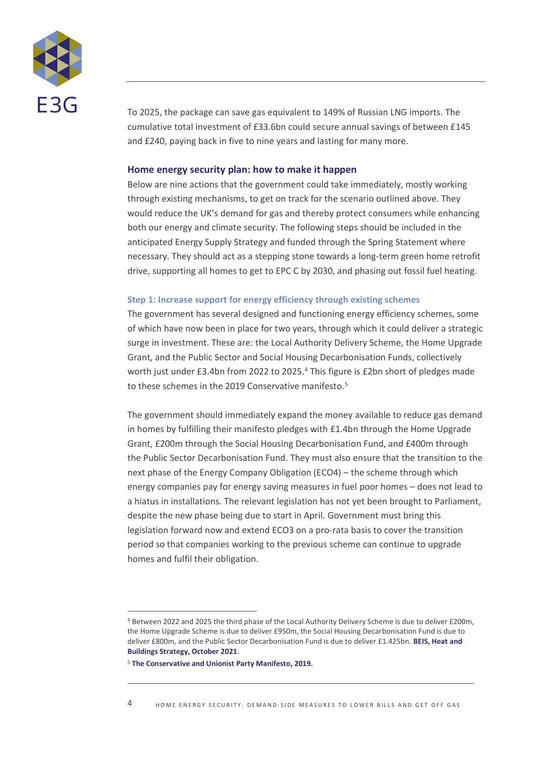

To 2025, the package can save gas equivalent to 149% of Russian LNG imports. The cumulative total investment of £33.6bn could secure annual savings of between £145 and £240, paying back in five to nine years and lasting for many more.

#### **Home energy security plan: how to make it happen**

Below are nine actions that the government could take immediately, mostly working through existing mechanisms, to get on track for the scenario outlined above. They would reduce the UK's demand for gas and thereby protect consumers while enhancing both our energy and climate security. The following steps should be included in the anticipated Energy Supply Strategy and funded through the Spring Statement where necessary. They should act as a stepping stone towards a long-term green home retrofit drive, supporting all homes to get to EPC C by 2030, and phasing out fossil fuel heating.

#### **Step 1: Increase support for energy efficiency through existing schemes**

The government has several designed and functioning energy efficiency schemes, some of which have now been in place for two years, through which it could deliver a strategic surge in investment. These are: the Local Authority Delivery Scheme, the Home Upgrade Grant, and the Public Sector and Social Housing Decarbonisation Funds, collectively worth just under £3.4bn from 2022 to 2025.<sup>4</sup> This figure is £2bn short of pledges made to these schemes in the 2019 Conservative manifesto.<sup>5</sup>

The government should immediately expand the money available to reduce gas demand in homes by fulfilling their manifesto pledges with £1.4bn through the Home Upgrade Grant, £200m through the Social Housing Decarbonisation Fund, and £400m through the Public Sector Decarbonisation Fund. They must also ensure that the transition to the next phase of the Energy Company Obligation (ECO4) – the scheme through which energy companies pay for energy saving measures in fuel poor homes – does not lead to a hiatus in installations. The relevant legislation has not yet been brought to Parliament, despite the new phase being due to start in April. Government must bring this legislation forward now and extend ECO3 on a pro-rata basis to cover the transition period so that companies working to the previous scheme can continue to upgrade homes and fulfil their obligation.

<sup>4</sup> Between 2022 and 2025 the third phase of the Local Authority Delivery Scheme is due to deliver £200m, the Home Upgrade Scheme is due to deliver £950m, the Social Housing Decarbonisation Fund is due to deliver £800m, and the Public Sector Decarbonisation Fund is due to deliver £1.425bn. **[BEIS, Heat and](https://assets.publishing.service.gov.uk/government/uploads/system/uploads/attachment_data/file/1036227/E02666137_CP_388_Heat_and_Buildings_Elay.pdf)  [Buildings Strategy, October 2021](https://assets.publishing.service.gov.uk/government/uploads/system/uploads/attachment_data/file/1036227/E02666137_CP_388_Heat_and_Buildings_Elay.pdf)**.

<sup>5</sup> **[The Conservative and Unionist Party Manifesto, 2019.](https://www.conservatives.com/our-plan/conservative-party-manifesto-2019)**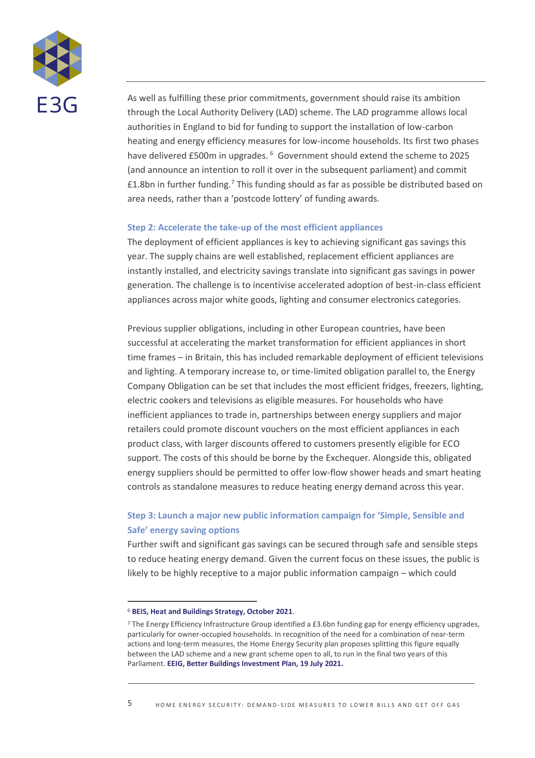

As well as fulfilling these prior commitments, government should raise its ambition through the Local Authority Delivery (LAD) scheme. The LAD programme allows local authorities in England to bid for funding to support the installation of low-carbon heating and energy efficiency measures for low-income households. Its first two phases have delivered £500m in upgrades.<sup>6</sup> Government should extend the scheme to 2025 (and announce an intention to roll it over in the subsequent parliament) and commit  $£1.8$ bn in further funding.<sup>7</sup> This funding should as far as possible be distributed based on area needs, rather than a 'postcode lottery' of funding awards.

#### **Step 2: Accelerate the take-up of the most efficient appliances**

The deployment of efficient appliances is key to achieving significant gas savings this year. The supply chains are well established, replacement efficient appliances are instantly installed, and electricity savings translate into significant gas savings in power generation. The challenge is to incentivise accelerated adoption of best-in-class efficient appliances across major white goods, lighting and consumer electronics categories.

Previous supplier obligations, including in other European countries, have been successful at accelerating the market transformation for efficient appliances in short time frames – in Britain, this has included remarkable deployment of efficient televisions and lighting. A temporary increase to, or time-limited obligation parallel to, the Energy Company Obligation can be set that includes the most efficient fridges, freezers, lighting, electric cookers and televisions as eligible measures. For households who have inefficient appliances to trade in, partnerships between energy suppliers and major retailers could promote discount vouchers on the most efficient appliances in each product class, with larger discounts offered to customers presently eligible for ECO support. The costs of this should be borne by the Exchequer. Alongside this, obligated energy suppliers should be permitted to offer low-flow shower heads and smart heating controls as standalone measures to reduce heating energy demand across this year.

# **Step 3: Launch a major new public information campaign for 'Simple, Sensible and Safe' energy saving options**

Further swift and significant gas savings can be secured through safe and sensible steps to reduce heating energy demand. Given the current focus on these issues, the public is likely to be highly receptive to a major public information campaign – which could

<sup>6</sup> **[BEIS, Heat and Buildings Strategy, October 2021](https://assets.publishing.service.gov.uk/government/uploads/system/uploads/attachment_data/file/1036227/E02666137_CP_388_Heat_and_Buildings_Elay.pdf)**.

<sup>7</sup> The Energy Efficiency Infrastructure Group identified a £3.6bn funding gap for energy efficiency upgrades, particularly for owner-occupied households. In recognition of the need for a combination of near-term actions and long-term measures, the Home Energy Security plan proposes splitting this figure equally between the LAD scheme and a new grant scheme open to all, to run in the final two years of this Parliament. **[EEIG, Better Buildings Investment Plan, 19 July 2021.](https://www.theeeig.co.uk/media/1109/eeig_2021-budget-and-spending-review_0721.pdf)**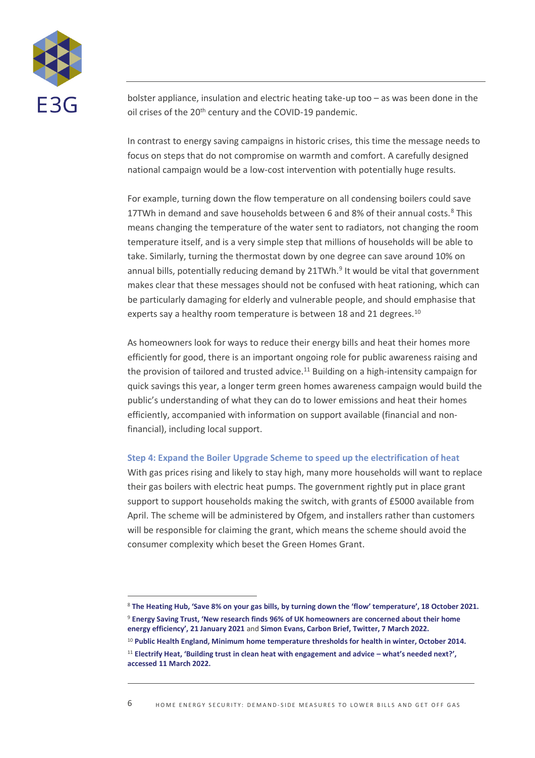

bolster appliance, insulation and electric heating take-up too – as was been done in the oil crises of the 20<sup>th</sup> century and the COVID-19 pandemic.

In contrast to energy saving campaigns in historic crises, this time the message needs to focus on steps that do not compromise on warmth and comfort. A carefully designed national campaign would be a low-cost intervention with potentially huge results.

For example, turning down the flow temperature on all condensing boilers could save 17TWh in demand and save households between 6 and 8% of their annual costs.<sup>8</sup> This means changing the temperature of the water sent to radiators, not changing the room temperature itself, and is a very simple step that millions of households will be able to take. Similarly, turning the thermostat down by one degree can save around 10% on annual bills, potentially reducing demand by 21TWh.<sup>9</sup> It would be vital that government makes clear that these messages should not be confused with heat rationing, which can be particularly damaging for elderly and vulnerable people, and should emphasise that experts say a healthy room temperature is between 18 and 21 degrees.<sup>10</sup>

As homeowners look for ways to reduce their energy bills and heat their homes more efficiently for good, there is an important ongoing role for public awareness raising and the provision of tailored and trusted advice.<sup>11</sup> Building on a high-intensity campaign for quick savings this year, a longer term green homes awareness campaign would build the public's understanding of what they can do to lower emissions and heat their homes efficiently, accompanied with information on support available (financial and nonfinancial), including local support.

#### **Step 4: Expand the Boiler Upgrade Scheme to speed up the electrification of heat**

With gas prices rising and likely to stay high, many more households will want to replace their gas boilers with electric heat pumps. The government rightly put in place grant support to support households making the switch, with grants of £5000 available from April. The scheme will be administered by Ofgem, and installers rather than customers will be responsible for claiming the grant, which means the scheme should avoid the consumer complexity which beset the Green Homes Grant.

<sup>8</sup> **[The Heating Hub, 'Save 8% on your gas bills, by turning down the 'flow' temperature', 18 October 2021.](https://www.theheatinghub.co.uk/articles/turn-down-the-boiler-flow-temperature)** <sup>9</sup> **[Energy Saving Trust, 'New research finds 96% of UK homeowners are concerned about their home](https://energysavingtrust.org.uk/new-research-finds-96-of-uk-homeowners-are-concerned-about-their-home-energy-efficiency-yet-one-in-five-arent-taking-simple-steps-to-improve-it/)  [energy efficiency', 21 Janu](https://energysavingtrust.org.uk/new-research-finds-96-of-uk-homeowners-are-concerned-about-their-home-energy-efficiency-yet-one-in-five-arent-taking-simple-steps-to-improve-it/)ary 2021** and **[Simon Evans, Carbon Brief, Twitter, 7 March 2022.](https://twitter.com/DrSimEvans/status/1500856598872436743)** <sup>10</sup> **[Public Health England, Minimum home temperature thresholds for health in winter, October 2014.](https://assets.publishing.service.gov.uk/government/uploads/system/uploads/attachment_data/file/776497/Min_temp_threshold_for_homes_in_winter.pdf)**

<sup>11</sup> **[Electrify Heat, 'Building trust in clean heat with engagement and advice –](https://electrifyheat.uk/wp-content/uploads/2022/02/Electrify-Heat-public-engagement-and-advice.pdf) what's needed next?', [accessed 11 March 2022.](https://electrifyheat.uk/wp-content/uploads/2022/02/Electrify-Heat-public-engagement-and-advice.pdf)**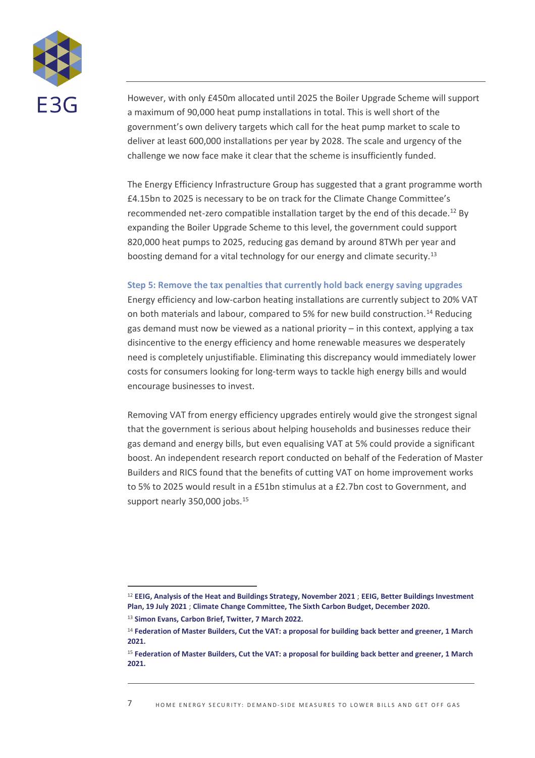

However, with only £450m allocated until 2025 the Boiler Upgrade Scheme will support a maximum of 90,000 heat pump installations in total. This is well short of the government's own delivery targets which call for the heat pump market to scale to deliver at least 600,000 installations per year by 2028. The scale and urgency of the challenge we now face make it clear that the scheme is insufficiently funded.

The Energy Efficiency Infrastructure Group has suggested that a grant programme worth £4.15bn to 2025 is necessary to be on track for the Climate Change Committee's recommended net-zero compatible installation target by the end of this decade.<sup>12</sup> By expanding the Boiler Upgrade Scheme to this level, the government could support 820,000 heat pumps to 2025, reducing gas demand by around 8TWh per year and boosting demand for a vital technology for our energy and climate security.<sup>13</sup>

#### **Step 5: Remove the tax penalties that currently hold back energy saving upgrades**

Energy efficiency and low-carbon heating installations are currently subject to 20% VAT on both materials and labour, compared to 5% for new build construction.<sup>14</sup> Reducing gas demand must now be viewed as a national priority – in this context, applying a tax disincentive to the energy efficiency and home renewable measures we desperately need is completely unjustifiable. Eliminating this discrepancy would immediately lower costs for consumers looking for long-term ways to tackle high energy bills and would encourage businesses to invest.

Removing VAT from energy efficiency upgrades entirely would give the strongest signal that the government is serious about helping households and businesses reduce their gas demand and energy bills, but even equalising VAT at 5% could provide a significant boost. An independent research report conducted on behalf of the Federation of Master Builders and RICS found that the benefits of cutting VAT on home improvement works to 5% to 2025 would result in a £51bn stimulus at a £2.7bn cost to Government, and support nearly 350,000 jobs.<sup>15</sup>

<sup>12</sup> **[EEIG, Analysis of the Heat and Buildings Strategy, November 2021](https://www.theeeig.co.uk/media/1114/eeig_analysis-of-the-heat-and-buildings-strategy_03.pdf)** ; **[EEIG, Better Buildings Investment](https://www.theeeig.co.uk/media/1109/eeig_2021-budget-and-spending-review_0721.pdf)  [Plan, 19 July 2021](https://www.theeeig.co.uk/media/1109/eeig_2021-budget-and-spending-review_0721.pdf)** ; **[Climate Change Committee, The Sixth Carbon Budget, December 2020.](https://www.theccc.org.uk/wp-content/uploads/2020/12/The-Sixth-Carbon-Budget-The-UKs-path-to-Net-Zero.pdf)** 

<sup>13</sup> **[Simon Evans, Carbon Brief, Twitter, 7 March 2022.](https://twitter.com/DrSimEvans/status/1500856598872436743)**

<sup>14</sup> **[Federation of Master Builders, Cut the VAT: a proposal for building back better and greener, 1 March](https://www.fmb.org.uk/resource/cut-the-vat.html)  [2021.](https://www.fmb.org.uk/resource/cut-the-vat.html)**

<sup>15</sup> **[Federation of Master Builders, Cut the VAT: a proposal for building back better and greener, 1 March](https://www.fmb.org.uk/resource/cut-the-vat.html)  [2021.](https://www.fmb.org.uk/resource/cut-the-vat.html)**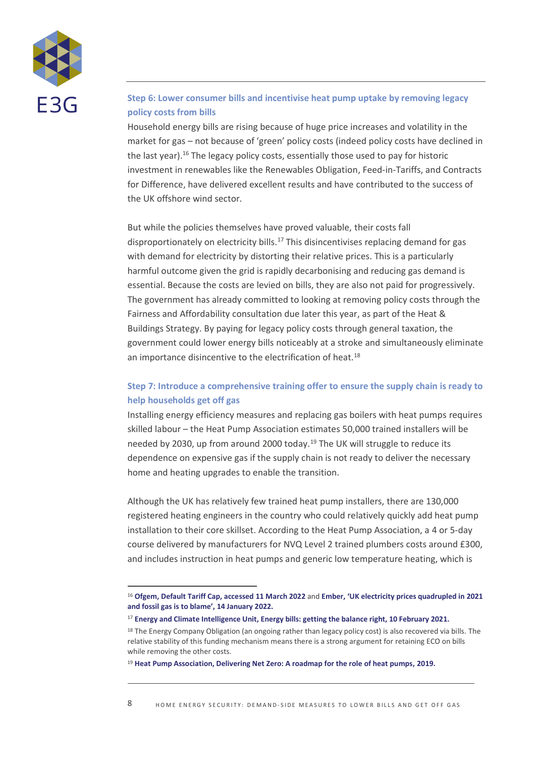

## **Step 6: Lower consumer bills and incentivise heat pump uptake by removing legacy policy costs from bills**

Household energy bills are rising because of huge price increases and volatility in the market for gas – not because of 'green' policy costs (indeed policy costs have declined in the last year).<sup>16</sup> The legacy policy costs, essentially those used to pay for historic investment in renewables like the Renewables Obligation, Feed-in-Tariffs, and Contracts for Difference, have delivered excellent results and have contributed to the success of the UK offshore wind sector.

But while the policies themselves have proved valuable, their costs fall disproportionately on electricity bills.<sup>17</sup> This disincentivises replacing demand for gas with demand for electricity by distorting their relative prices. This is a particularly harmful outcome given the grid is rapidly decarbonising and reducing gas demand is essential. Because the costs are levied on bills, they are also not paid for progressively. The government has already committed to looking at removing policy costs through the Fairness and Affordability consultation due later this year, as part of the Heat & Buildings Strategy. By paying for legacy policy costs through general taxation, the government could lower energy bills noticeably at a stroke and simultaneously eliminate an importance disincentive to the electrification of heat.<sup>18</sup>

## **Step 7: Introduce a comprehensive training offer to ensure the supply chain is ready to help households get off gas**

Installing energy efficiency measures and replacing gas boilers with heat pumps requires skilled labour – the Heat Pump Association estimates 50,000 trained installers will be needed by 2030, up from around 2000 today.<sup>19</sup> The UK will struggle to reduce its dependence on expensive gas if the supply chain is not ready to deliver the necessary home and heating upgrades to enable the transition.

Although the UK has relatively few trained heat pump installers, there are 130,000 registered heating engineers in the country who could relatively quickly add heat pump installation to their core skillset. According to the Heat Pump Association, a 4 or 5-day course delivered by manufacturers for NVQ Level 2 trained plumbers costs around £300, and includes instruction in heat pumps and generic low temperature heating, which is

<sup>16</sup> **Ofgem, [Default Tariff Cap, accessed 11 March 2022](https://www.ofgem.gov.uk/energy-policy-and-regulation/policy-and-regulatory-programmes/default-tariff-cap)** and **Ember[, 'UK electricity prices quadrupled in 2021](https://ember-climate.org/commentary/2022/01/14/uk-electricity-prices-fossil-gas/#:~:text=New%20analysis%20by%20energy%20think,generate%20electricity%20from%20gas%20plants)  and fossil gas i[s to blame', 14 January 2022.](https://ember-climate.org/commentary/2022/01/14/uk-electricity-prices-fossil-gas/#:~:text=New%20analysis%20by%20energy%20think,generate%20electricity%20from%20gas%20plants)**

<sup>17</sup> **[Energy and Climate Intelligence Unit, Energy bills: getting the balance right, 10 February 2021.](https://eciu.net/insights/2021/rebalancing-energy-bills-and-carbon-prices-what-are-the-options)**

<sup>&</sup>lt;sup>18</sup> The Energy Company Obligation (an ongoing rather than legacy policy cost) is also recovered via bills. The relative stability of this funding mechanism means there is a strong argument for retaining ECO on bills while removing the other costs.

<sup>19</sup> **[Heat Pump Association, Delivering Net Zero: A roadmap for the role of heat pumps, 2019.](https://www.heatpumps.org.uk/wp-content/uploads/2019/11/A-Roadmap-for-the-Role-of-Heat-Pumps.pdf)**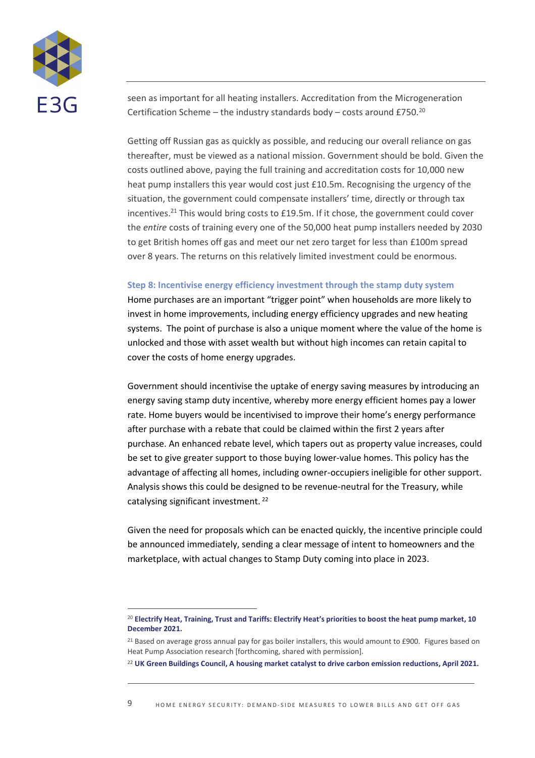

seen as important for all heating installers. Accreditation from the Microgeneration Certification Scheme – the industry standards body – costs around £750. $^{20}$ 

Getting off Russian gas as quickly as possible, and reducing our overall reliance on gas thereafter, must be viewed as a national mission. Government should be bold. Given the costs outlined above, paying the full training and accreditation costs for 10,000 new heat pump installers this year would cost just £10.5m. Recognising the urgency of the situation, the government could compensate installers' time, directly or through tax incentives.<sup>21</sup> This would bring costs to £19.5m. If it chose, the government could cover the *entire* costs of training every one of the 50,000 heat pump installers needed by 2030 to get British homes off gas and meet our net zero target for less than £100m spread over 8 years. The returns on this relatively limited investment could be enormous.

### **Step 8: Incentivise energy efficiency investment through the stamp duty system**

Home purchases are an important "trigger point" when households are more likely to invest in home improvements, including energy efficiency upgrades and new heating systems. The point of purchase is also a unique moment where the value of the home is unlocked and those with asset wealth but without high incomes can retain capital to cover the costs of home energy upgrades.

Government should incentivise the uptake of energy saving measures by introducing an energy saving stamp duty incentive, whereby more energy efficient homes pay a lower rate. Home buyers would be incentivised to improve their home's energy performance after purchase with a rebate that could be claimed within the first 2 years after purchase. An enhanced rebate level, which tapers out as property value increases, could be set to give greater support to those buying lower-value homes. This policy has the advantage of affecting all homes, including owner-occupiers ineligible for other support. Analysis shows this could be designed to be revenue-neutral for the Treasury, while catalysing significant investment. <sup>22</sup>

Given the need for proposals which can be enacted quickly, the incentive principle could be announced immediately, sending a clear message of intent to homeowners and the marketplace, with actual changes to Stamp Duty coming into place in 2023.

<sup>20</sup> **[Electrify Heat, Training, Trust and Tariffs: Electrify Heat's priorities to boost the heat pump market, 10](https://electrifyheat.uk/wp-content/uploads/2021/12/Electrify-Heat-Briefing-December-2021-Training-Trust-and-Tariffs.pdf)  [December 2021.](https://electrifyheat.uk/wp-content/uploads/2021/12/Electrify-Heat-Briefing-December-2021-Training-Trust-and-Tariffs.pdf)**

<sup>&</sup>lt;sup>21</sup> Based on average gross annual pay for gas boiler installers, this would amount to £900. Figures based on Heat Pump Association research [forthcoming, shared with permission].

<sup>22</sup> **[UK Green Buildings Council, A housing market catalyst to drive carbon emission reductions, April 2021.](https://ukgbc.s3.eu-west-2.amazonaws.com/wp-content/uploads/2021/04/05144038/A-housing-market-catalyst-to-drive-carbon-emission-reductions.pdf)**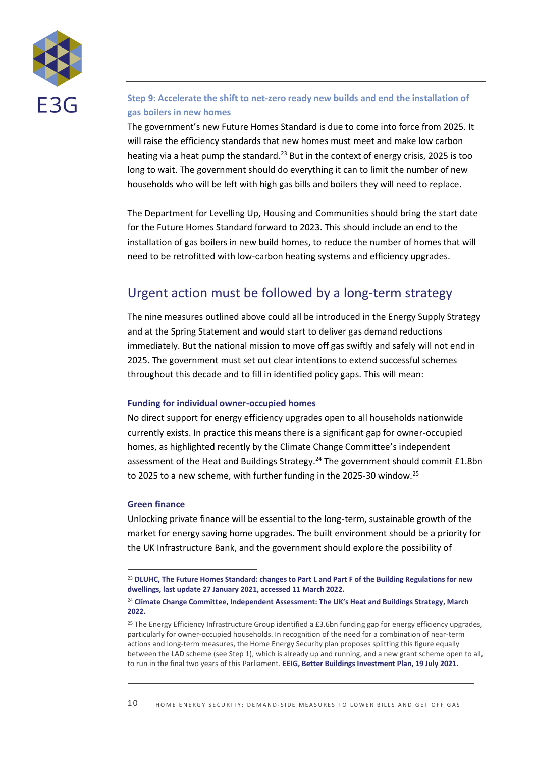

## **Step 9: Accelerate the shift to net-zero ready new builds and end the installation of gas boilers in new homes**

The government's new Future Homes Standard is due to come into force from 2025. It will raise the efficiency standards that new homes must meet and make low carbon heating via a heat pump the standard.<sup>23</sup> But in the context of energy crisis, 2025 is too long to wait. The government should do everything it can to limit the number of new households who will be left with high gas bills and boilers they will need to replace.

The Department for Levelling Up, Housing and Communities should bring the start date for the Future Homes Standard forward to 2023. This should include an end to the installation of gas boilers in new build homes, to reduce the number of homes that will need to be retrofitted with low-carbon heating systems and efficiency upgrades.

# Urgent action must be followed by a long-term strategy

The nine measures outlined above could all be introduced in the Energy Supply Strategy and at the Spring Statement and would start to deliver gas demand reductions immediately. But the national mission to move off gas swiftly and safely will not end in 2025. The government must set out clear intentions to extend successful schemes throughout this decade and to fill in identified policy gaps. This will mean:

### **Funding for individual owner-occupied homes**

No direct support for energy efficiency upgrades open to all households nationwide currently exists. In practice this means there is a significant gap for owner-occupied homes, as highlighted recently by the Climate Change Committee's independent assessment of the Heat and Buildings Strategy.<sup>24</sup> The government should commit £1.8bn to 2025 to a new scheme, with further funding in the 2025-30 window.<sup>25</sup>

### **Green finance**

Unlocking private finance will be essential to the long-term, sustainable growth of the market for energy saving home upgrades. The built environment should be a priority for the UK Infrastructure Bank, and the government should explore the possibility of

<sup>23</sup> **[DLUHC, The Future Homes Standard: changes to Part L and Part F of the Building Regulations for new](https://www.gov.uk/government/consultations/the-future-homes-standard-changes-to-part-l-and-part-f-of-the-building-regulations-for-new-dwellings)  [dwellings, last update 27 January 2021, accessed 11 March 2022.](https://www.gov.uk/government/consultations/the-future-homes-standard-changes-to-part-l-and-part-f-of-the-building-regulations-for-new-dwellings)**

<sup>24</sup> **[Climate Change Committee, Independent Assessment: The UK's Heat and Buildings Strategy](https://www.theccc.org.uk/publication/independent-assessment-the-uks-heat-and-buildings-strategy/), March [2022.](https://www.theccc.org.uk/publication/independent-assessment-the-uks-heat-and-buildings-strategy/)**

<sup>&</sup>lt;sup>25</sup> The Energy Efficiency Infrastructure Group identified a £3.6bn funding gap for energy efficiency upgrades, particularly for owner-occupied households. In recognition of the need for a combination of near-term actions and long-term measures, the Home Energy Security plan proposes splitting this figure equally between the LAD scheme (see Step 1), which is already up and running, and a new grant scheme open to all, to run in the final two years of this Parliament. **[EEIG, Better Buildings Investment Plan, 19 July 2021.](https://www.theeeig.co.uk/media/1109/eeig_2021-budget-and-spending-review_0721.pdf)**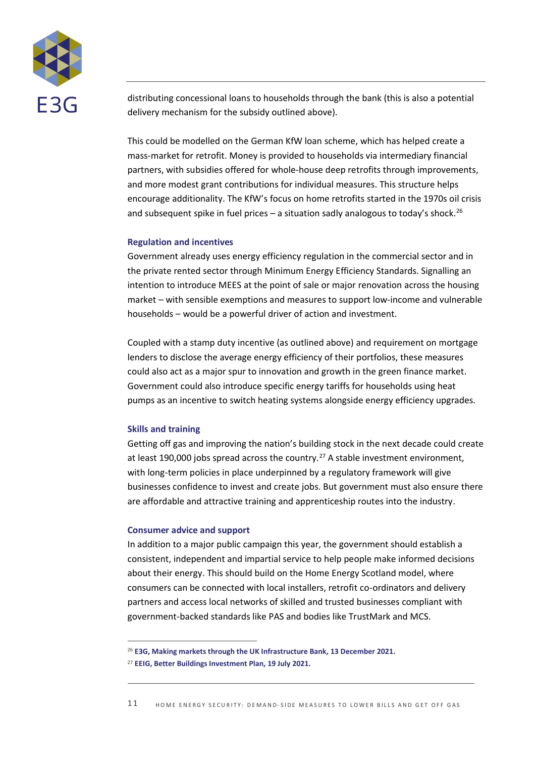

distributing concessional loans to households through the bank (this is also a potential delivery mechanism for the subsidy outlined above).

This could be modelled on the German KfW loan scheme, which has helped create a mass-market for retrofit. Money is provided to households via intermediary financial partners, with subsidies offered for whole-house deep retrofits through improvements, and more modest grant contributions for individual measures. This structure helps encourage additionality. The KfW's focus on home retrofits started in the 1970s oil crisis and subsequent spike in fuel prices - a situation sadly analogous to today's shock.<sup>26</sup>

#### **Regulation and incentives**

Government already uses energy efficiency regulation in the commercial sector and in the private rented sector through Minimum Energy Efficiency Standards. Signalling an intention to introduce MEES at the point of sale or major renovation across the housing market – with sensible exemptions and measures to support low-income and vulnerable households – would be a powerful driver of action and investment.

Coupled with a stamp duty incentive (as outlined above) and requirement on mortgage lenders to disclose the average energy efficiency of their portfolios, these measures could also act as a major spur to innovation and growth in the green finance market. Government could also introduce specific energy tariffs for households using heat pumps as an incentive to switch heating systems alongside energy efficiency upgrades.

#### **Skills and training**

Getting off gas and improving the nation's building stock in the next decade could create at least 190,000 jobs spread across the country.<sup>27</sup> A stable investment environment, with long-term policies in place underpinned by a regulatory framework will give businesses confidence to invest and create jobs. But government must also ensure there are affordable and attractive training and apprenticeship routes into the industry.

#### **Consumer advice and support**

In addition to a major public campaign this year, the government should establish a consistent, independent and impartial service to help people make informed decisions about their energy. This should build on the Home Energy Scotland model, where consumers can be connected with local installers, retrofit co-ordinators and delivery partners and access local networks of skilled and trusted businesses compliant with government-backed standards like PAS and bodies like TrustMark and MCS.

<sup>26</sup> **[E3G, Making markets through the UK Infrastructure Bank,](https://www.e3g.org/publications/making-markets-through-the-uk-infrastructure-bank/) 13 December 2021.**

<sup>27</sup> **[EEIG, Better Buildings Investment Plan, 19 July 2021.](https://www.theeeig.co.uk/media/1109/eeig_2021-budget-and-spending-review_0721.pdf)**